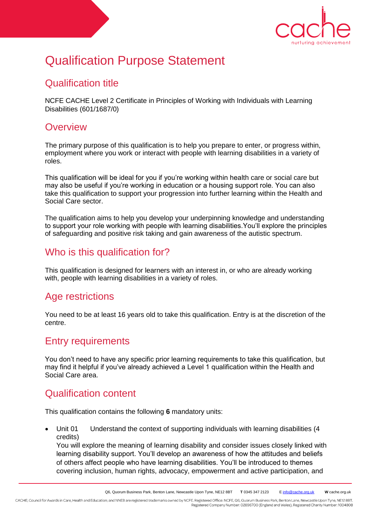

# Qualification Purpose Statement

### Qualification title

NCFE CACHE Level 2 Certificate in Principles of Working with Individuals with Learning Disabilities (601/1687/0)

#### **Overview**

The primary purpose of this qualification is to help you prepare to enter, or progress within, employment where you work or interact with people with learning disabilities in a variety of roles.

This qualification will be ideal for you if you're working within health care or social care but may also be useful if you're working in education or a housing support role. You can also take this qualification to support your progression into further learning within the Health and Social Care sector.

The qualification aims to help you develop your underpinning knowledge and understanding to support your role working with people with learning disabilities.You'll explore the principles of safeguarding and positive risk taking and gain awareness of the autistic spectrum.

### Who is this qualification for?

This qualification is designed for learners with an interest in, or who are already working with, people with learning disabilities in a variety of roles.

#### Age restrictions

You need to be at least 16 years old to take this qualification. Entry is at the discretion of the centre.

#### Entry requirements

You don't need to have any specific prior learning requirements to take this qualification, but may find it helpful if you've already achieved a Level 1 qualification within the Health and Social Care area.

#### Qualification content

This qualification contains the following **6** mandatory units:

 Unit 01 Understand the context of supporting individuals with learning disabilities (4 credits)

You will explore the meaning of learning disability and consider issues closely linked with learning disability support. You'll develop an awareness of how the attitudes and beliefs of others affect people who have learning disabilities. You'll be introduced to themes covering inclusion, human rights, advocacy, empowerment and active participation, and

CACHE; Council for Awards in Care, Health and Education; and NNEB are registered trademarks owned by NCFE. Registered Office: NCFE, Q6, Quorum Business Park, Benton Lane, Newcastle Upon Tyne, NE12 8BT. Registered Company Number: 02896700 (England and Wales). Registered Charity Number: 1034808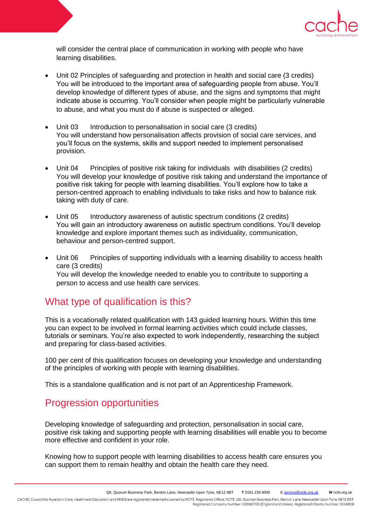

will consider the central place of communication in working with people who have learning disabilities.

- Unit 02 Principles of safeguarding and protection in health and social care (3 credits) You will be introduced to the important area of safeguarding people from abuse. You'll develop knowledge of different types of abuse, and the signs and symptoms that might indicate abuse is occurring. You'll consider when people might be particularly vulnerable to abuse, and what you must do if abuse is suspected or alleged.
- Unit 03 Introduction to personalisation in social care (3 credits) You will understand how personalisation affects provision of social care services, and you'll focus on the systems, skills and support needed to implement personalised provision.
- Unit 04 Principles of positive risk taking for individuals with disabilities (2 credits) You will develop your knowledge of positive risk taking and understand the importance of positive risk taking for people with learning disabilities. You'll explore how to take a person-centred approach to enabling individuals to take risks and how to balance risk taking with duty of care.
- Unit 05 Introductory awareness of autistic spectrum conditions (2 credits) You will gain an introductory awareness on autistic spectrum conditions. You'll develop knowledge and explore important themes such as individuality, communication, behaviour and person-centred support.
- Unit 06 Principles of supporting individuals with a learning disability to access health care (3 credits) You will develop the knowledge needed to enable you to contribute to supporting a person to access and use health care services.

#### What type of qualification is this?

This is a vocationally related qualification with 143 guided learning hours. Within this time you can expect to be involved in formal learning activities which could include classes, tutorials or seminars. You're also expected to work independently, researching the subject and preparing for class-based activities.

100 per cent of this qualification focuses on developing your knowledge and understanding of the principles of working with people with learning disabilities.

This is a standalone qualification and is not part of an Apprenticeship Framework.

## Progression opportunities

Developing knowledge of safeguarding and protection, personalisation in social care, positive risk taking and supporting people with learning disabilities will enable you to become more effective and confident in your role.

Knowing how to support people with learning disabilities to access health care ensures you can support them to remain healthy and obtain the health care they need.